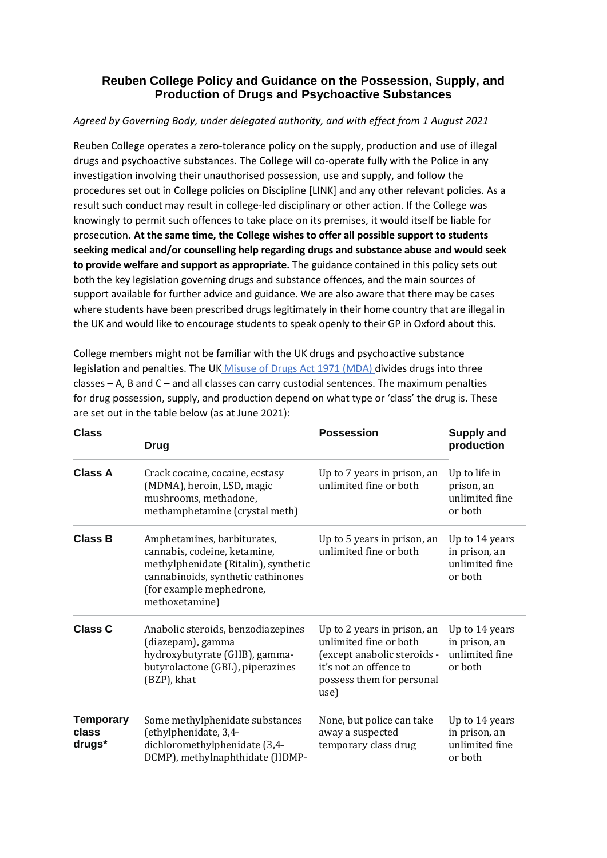## **Reuben College Policy and Guidance on the Possession, Supply, and Production of Drugs and Psychoactive Substances**

## *Agreed by Governing Body, under delegated authority, and with effect from 1 August 2021*

Reuben College operates a zero-tolerance policy on the supply, production and use of illegal drugs and psychoactive substances. The College will co-operate fully with the Police in any investigation involving their unauthorised possession, use and supply, and follow the procedures set out in College policies on Discipline [LINK] and any other relevant policies. As a result such conduct may result in college-led disciplinary or other action. If the College was knowingly to permit such offences to take place on its premises, it would itself be liable for prosecution**. At the same time, the College wishes to offer all possible support to students seeking medical and/or counselling help regarding drugs and substance abuse and would seek to provide welfare and support as appropriate.** The guidance contained in this policy sets out both the key legislation governing drugs and substance offences, and the main sources of support available for further advice and guidance. We are also aware that there may be cases where students have been prescribed drugs legitimately in their home country that are illegal in the UK and would like to encourage students to speak openly to their GP in Oxford about this.

College members might not be familiar with the UK drugs and psychoactive substance legislation and penalties. The U[K Misuse of Drugs Act 1971 \(MDA\) d](http://www.legislation.gov.uk/ukpga/1971/38/contents)ivides drugs into three classes – A, B and C – and all classes can carry custodial sentences. The maximum penalties for drug possession, supply, and production depend on what type or 'class' the drug is. These are set out in the table below (as at June 2021):

| <b>Class</b>                        | <b>Drug</b>                                                                                                                                                                             | <b>Possession</b>                                                                                                                                   | <b>Supply and</b><br>production                              |
|-------------------------------------|-----------------------------------------------------------------------------------------------------------------------------------------------------------------------------------------|-----------------------------------------------------------------------------------------------------------------------------------------------------|--------------------------------------------------------------|
| <b>Class A</b>                      | Crack cocaine, cocaine, ecstasy<br>(MDMA), heroin, LSD, magic<br>mushrooms, methadone,<br>methamphetamine (crystal meth)                                                                | Up to 7 years in prison, an<br>unlimited fine or both                                                                                               | Up to life in<br>prison, an<br>unlimited fine<br>or both     |
| <b>Class B</b>                      | Amphetamines, barbiturates,<br>cannabis, codeine, ketamine,<br>methylphenidate (Ritalin), synthetic<br>cannabinoids, synthetic cathinones<br>(for example mephedrone,<br>methoxetamine) | Up to 5 years in prison, an<br>unlimited fine or both                                                                                               | Up to 14 years<br>in prison, an<br>unlimited fine<br>or both |
| <b>Class C</b>                      | Anabolic steroids, benzodiazepines<br>(diazepam), gamma<br>hydroxybutyrate (GHB), gamma-<br>butyrolactone (GBL), piperazines<br>(BZP), khat                                             | Up to 2 years in prison, an<br>unlimited fine or both<br>(except anabolic steroids -<br>it's not an offence to<br>possess them for personal<br>use) | Up to 14 years<br>in prison, an<br>unlimited fine<br>or both |
| <b>Temporary</b><br>class<br>drugs* | Some methylphenidate substances<br>(ethylphenidate, 3,4-<br>dichloromethylphenidate (3,4-<br>DCMP), methylnaphthidate (HDMP-                                                            | None, but police can take<br>away a suspected<br>temporary class drug                                                                               | Up to 14 years<br>in prison, an<br>unlimited fine<br>or both |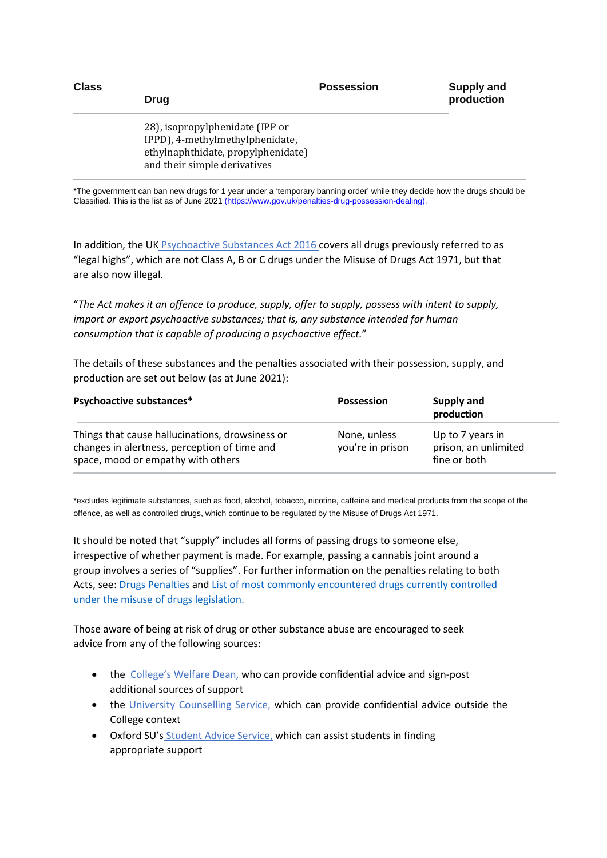| <b>Class</b> | Drug                                                                                                                                     | <b>Possession</b> | <b>Supply and</b><br>production |
|--------------|------------------------------------------------------------------------------------------------------------------------------------------|-------------------|---------------------------------|
|              | 28), isopropylphenidate (IPP or<br>IPPD), 4-methylmethylphenidate,<br>ethylnaphthidate, propylphenidate)<br>and their simple derivatives |                   |                                 |

\*The government can ban new drugs for 1 year under a 'temporary banning order' while they decide how the drugs should be Classified. This is the list as of June 2021 [\(h](https://www.gov.uk/penalties-drug-possession-dealing)ttps://www.gov.uk/penalties-drug-possession-dealing).

In addition, the U[K Psychoactive Substances Act 2016 c](https://www.gov.uk/government/collections/psychoactive-substances-bill-2015)overs all drugs previously referred to as "legal highs", which are not Class A, B or C drugs under the Misuse of Drugs Act 1971, but that are also now illegal.

"*The Act makes it an offence to produce, supply, offer to supply, possess with intent to supply, import or export psychoactive substances; that is, any substance intended for human consumption that is capable of producing a psychoactive effect.*"

The details of these substances and the penalties associated with their possession, supply, and production are set out below (as at June 2021):

| Psychoactive substances*                                                                                                              | <b>Possession</b>                | Supply and<br>production                                 |
|---------------------------------------------------------------------------------------------------------------------------------------|----------------------------------|----------------------------------------------------------|
| Things that cause hallucinations, drowsiness or<br>changes in alertness, perception of time and<br>space, mood or empathy with others | None, unless<br>you're in prison | Up to 7 years in<br>prison, an unlimited<br>fine or both |

\*excludes legitimate substances, such as food, alcohol, tobacco, nicotine, caffeine and medical products from the scope of the offence, as well as controlled drugs, which continue to be regulated by the Misuse of Drugs Act 1971.

It should be noted that "supply" includes all forms of passing drugs to someone else, irrespective of whether payment is made. For example, passing a cannabis joint around a group involves a series of "supplies". For further information on the penalties relating to both Acts, see: [Drugs Penalties](https://www.gov.uk/penalties-drug-possession-dealing) and [List of most commonly encountered drugs currently controlled](https://www.gov.uk/government/publications/controlled-drugs-list--2/list-of-most-commonly-encountered-drugs-currently-controlled-under-the-misuse-of-drugs-legislation)  [under the misuse of drugs legislation.](https://www.gov.uk/government/publications/controlled-drugs-list--2/list-of-most-commonly-encountered-drugs-currently-controlled-under-the-misuse-of-drugs-legislation)

Those aware of being at risk of drug or other substance abuse are encouraged to seek advice from any of the following sources:

- th[e College's Welfare Dean,](http://www.linacre.ox.ac.uk/current-members/welfare) who can provide confidential advice and sign-post additional sources of support
- th[e University Counselling Service,](https://www.ox.ac.uk/students/welfare/counselling?wssl=1) which can provide confidential advice outside the College context
- Oxford SU'[s Student Advice Service,](https://www.oxfordsu.org/wellbeing/student-advice/) which can assist students in finding appropriate support